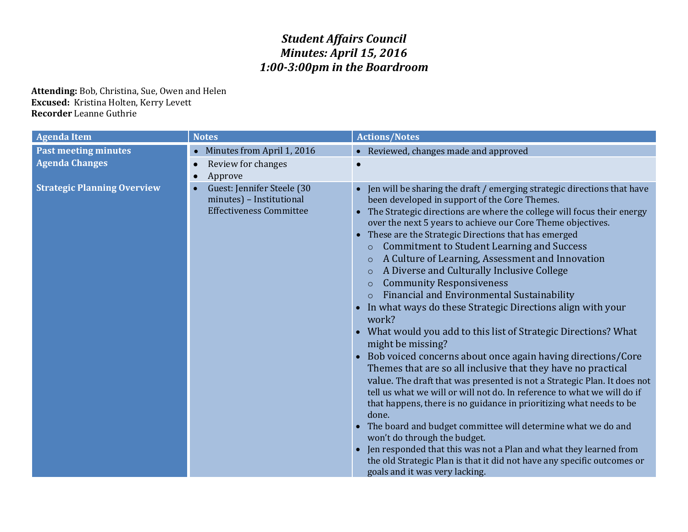## *Student Affairs Council Minutes: April 15, 2016 1:00-3:00pm in the Boardroom*

**Attending:** Bob, Christina, Sue, Owen and Helen **Excused:** Kristina Holten, Kerry Levett **Recorder** Leanne Guthrie

| <b>Agenda Item</b>                 | <b>Notes</b>                                                                             | <b>Actions/Notes</b>                                                                                                                                                                                                                                                                                                                                                                                                                                                                                                                                                                                                                                                                                                                                                                                                                                                                                                                                                                                                                                                                                                                                                                                                                                                                                                                                                                                                                                          |
|------------------------------------|------------------------------------------------------------------------------------------|---------------------------------------------------------------------------------------------------------------------------------------------------------------------------------------------------------------------------------------------------------------------------------------------------------------------------------------------------------------------------------------------------------------------------------------------------------------------------------------------------------------------------------------------------------------------------------------------------------------------------------------------------------------------------------------------------------------------------------------------------------------------------------------------------------------------------------------------------------------------------------------------------------------------------------------------------------------------------------------------------------------------------------------------------------------------------------------------------------------------------------------------------------------------------------------------------------------------------------------------------------------------------------------------------------------------------------------------------------------------------------------------------------------------------------------------------------------|
| <b>Past meeting minutes</b>        | Minutes from April 1, 2016                                                               | • Reviewed, changes made and approved                                                                                                                                                                                                                                                                                                                                                                                                                                                                                                                                                                                                                                                                                                                                                                                                                                                                                                                                                                                                                                                                                                                                                                                                                                                                                                                                                                                                                         |
| <b>Agenda Changes</b>              | Review for changes<br>Approve                                                            | $\bullet$                                                                                                                                                                                                                                                                                                                                                                                                                                                                                                                                                                                                                                                                                                                                                                                                                                                                                                                                                                                                                                                                                                                                                                                                                                                                                                                                                                                                                                                     |
| <b>Strategic Planning Overview</b> | Guest: Jennifer Steele (30<br>minutes) - Institutional<br><b>Effectiveness Committee</b> | Jen will be sharing the draft / emerging strategic directions that have<br>been developed in support of the Core Themes.<br>The Strategic directions are where the college will focus their energy<br>$\bullet$<br>over the next 5 years to achieve our Core Theme objectives.<br>These are the Strategic Directions that has emerged<br>$\bullet$<br><b>Commitment to Student Learning and Success</b><br>$\circ$<br>A Culture of Learning, Assessment and Innovation<br>$\circ$<br>A Diverse and Culturally Inclusive College<br>$\circ$<br><b>Community Responsiveness</b><br>$\circ$<br>Financial and Environmental Sustainability<br>In what ways do these Strategic Directions align with your<br>work?<br>• What would you add to this list of Strategic Directions? What<br>might be missing?<br>Bob voiced concerns about once again having directions/Core<br>Themes that are so all inclusive that they have no practical<br>value. The draft that was presented is not a Strategic Plan. It does not<br>tell us what we will or will not do. In reference to what we will do if<br>that happens, there is no guidance in prioritizing what needs to be<br>done.<br>The board and budget committee will determine what we do and<br>won't do through the budget.<br>Jen responded that this was not a Plan and what they learned from<br>the old Strategic Plan is that it did not have any specific outcomes or<br>goals and it was very lacking. |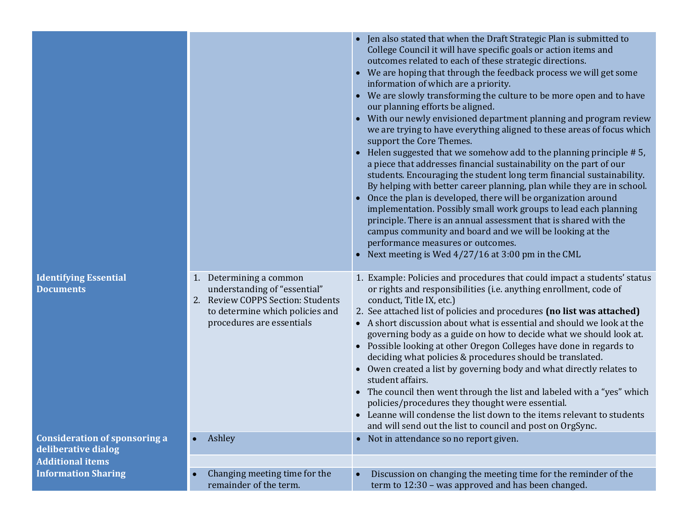|                                                             |                                                                                                                                                              | Jen also stated that when the Draft Strategic Plan is submitted to<br>College Council it will have specific goals or action items and<br>outcomes related to each of these strategic directions.<br>• We are hoping that through the feedback process we will get some<br>information of which are a priority.<br>• We are slowly transforming the culture to be more open and to have<br>our planning efforts be aligned.<br>• With our newly envisioned department planning and program review<br>we are trying to have everything aligned to these areas of focus which<br>support the Core Themes.<br>• Helen suggested that we somehow add to the planning principle #5,<br>a piece that addresses financial sustainability on the part of our<br>students. Encouraging the student long term financial sustainability.<br>By helping with better career planning, plan while they are in school.<br>• Once the plan is developed, there will be organization around<br>implementation. Possibly small work groups to lead each planning<br>principle. There is an annual assessment that is shared with the<br>campus community and board and we will be looking at the<br>performance measures or outcomes.<br>Next meeting is Wed 4/27/16 at 3:00 pm in the CML |
|-------------------------------------------------------------|--------------------------------------------------------------------------------------------------------------------------------------------------------------|-------------------------------------------------------------------------------------------------------------------------------------------------------------------------------------------------------------------------------------------------------------------------------------------------------------------------------------------------------------------------------------------------------------------------------------------------------------------------------------------------------------------------------------------------------------------------------------------------------------------------------------------------------------------------------------------------------------------------------------------------------------------------------------------------------------------------------------------------------------------------------------------------------------------------------------------------------------------------------------------------------------------------------------------------------------------------------------------------------------------------------------------------------------------------------------------------------------------------------------------------------------------------|
| <b>Identifying Essential</b><br><b>Documents</b>            | 1. Determining a common<br>understanding of "essential"<br>2. Review COPPS Section: Students<br>to determine which policies and<br>procedures are essentials | 1. Example: Policies and procedures that could impact a students' status<br>or rights and responsibilities (i.e. anything enrollment, code of<br>conduct, Title IX, etc.)<br>2. See attached list of policies and procedures (no list was attached)<br>• A short discussion about what is essential and should we look at the<br>governing body as a guide on how to decide what we should look at.<br>• Possible looking at other Oregon Colleges have done in regards to<br>deciding what policies & procedures should be translated.<br>• Owen created a list by governing body and what directly relates to<br>student affairs.<br>• The council then went through the list and labeled with a "yes" which<br>policies/procedures they thought were essential.<br>• Leanne will condense the list down to the items relevant to students<br>and will send out the list to council and post on OrgSync.                                                                                                                                                                                                                                                                                                                                                              |
| <b>Consideration of sponsoring a</b><br>deliberative dialog | Ashley                                                                                                                                                       | • Not in attendance so no report given.                                                                                                                                                                                                                                                                                                                                                                                                                                                                                                                                                                                                                                                                                                                                                                                                                                                                                                                                                                                                                                                                                                                                                                                                                                 |
| <b>Additional items</b>                                     |                                                                                                                                                              |                                                                                                                                                                                                                                                                                                                                                                                                                                                                                                                                                                                                                                                                                                                                                                                                                                                                                                                                                                                                                                                                                                                                                                                                                                                                         |
| <b>Information Sharing</b>                                  | Changing meeting time for the<br>$\bullet$<br>remainder of the term.                                                                                         | Discussion on changing the meeting time for the reminder of the<br>$\bullet$<br>term to 12:30 - was approved and has been changed.                                                                                                                                                                                                                                                                                                                                                                                                                                                                                                                                                                                                                                                                                                                                                                                                                                                                                                                                                                                                                                                                                                                                      |